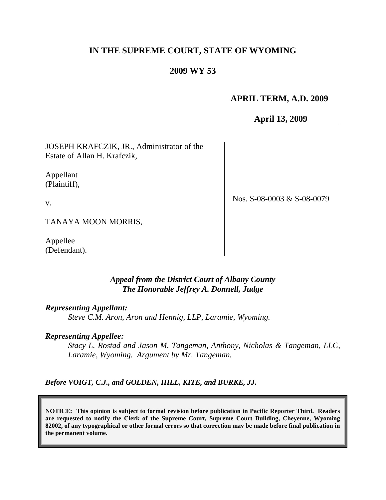# **IN THE SUPREME COURT, STATE OF WYOMING**

# **2009 WY 53**

# **APRIL TERM, A.D. 2009**

**April 13, 2009**

JOSEPH KRAFCZIK, JR., Administrator of the Estate of Allan H. Krafczik,

Appellant (Plaintiff),

v.

Nos. S-08-0003 & S-08-0079

TANAYA MOON MORRIS,

Appellee (Defendant).

#### *Appeal from the District Court of Albany County The Honorable Jeffrey A. Donnell, Judge*

#### *Representing Appellant:*

*Steve C.M. Aron, Aron and Hennig, LLP, Laramie, Wyoming.*

#### *Representing Appellee:*

*Stacy L. Rostad and Jason M. Tangeman, Anthony, Nicholas & Tangeman, LLC, Laramie, Wyoming. Argument by Mr. Tangeman.*

*Before VOIGT, C.J., and GOLDEN, HILL, KITE, and BURKE, JJ.*

**NOTICE: This opinion is subject to formal revision before publication in Pacific Reporter Third. Readers are requested to notify the Clerk of the Supreme Court, Supreme Court Building, Cheyenne, Wyoming 82002, of any typographical or other formal errors so that correction may be made before final publication in the permanent volume.**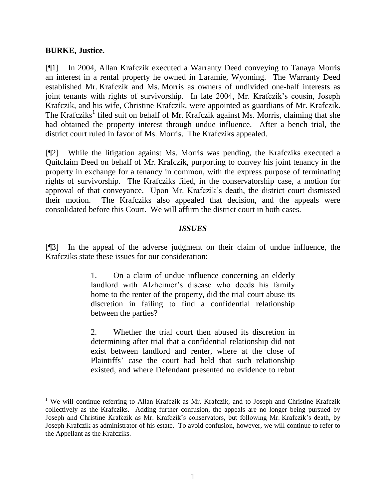#### **BURKE, Justice.**

[¶1] In 2004, Allan Krafczik executed a Warranty Deed conveying to Tanaya Morris an interest in a rental property he owned in Laramie, Wyoming. The Warranty Deed established Mr. Krafczik and Ms. Morris as owners of undivided one-half interests as joint tenants with rights of survivorship. In late 2004, Mr. Krafczik's cousin, Joseph Krafczik, and his wife, Christine Krafczik, were appointed as guardians of Mr. Krafczik. The Krafcziks<sup>1</sup> filed suit on behalf of Mr. Krafczik against Ms. Morris, claiming that she had obtained the property interest through undue influence. After a bench trial, the district court ruled in favor of Ms. Morris. The Krafcziks appealed.

[¶2] While the litigation against Ms. Morris was pending, the Krafcziks executed a Quitclaim Deed on behalf of Mr. Krafczik, purporting to convey his joint tenancy in the property in exchange for a tenancy in common, with the express purpose of terminating rights of survivorship. The Krafcziks filed, in the conservatorship case, a motion for approval of that conveyance. Upon Mr. Krafczik's death, the district court dismissed their motion. The Krafcziks also appealed that decision, and the appeals were consolidated before this Court. We will affirm the district court in both cases.

### *ISSUES*

[¶3] In the appeal of the adverse judgment on their claim of undue influence, the Krafcziks state these issues for our consideration:

> 1. On a claim of undue influence concerning an elderly landlord with Alzheimer's disease who deeds his family home to the renter of the property, did the trial court abuse its discretion in failing to find a confidential relationship between the parties?

> 2. Whether the trial court then abused its discretion in determining after trial that a confidential relationship did not exist between landlord and renter, where at the close of Plaintiffs' case the court had held that such relationship existed, and where Defendant presented no evidence to rebut

<sup>&</sup>lt;sup>1</sup> We will continue referring to Allan Krafczik as Mr. Krafczik, and to Joseph and Christine Krafczik collectively as the Krafcziks. Adding further confusion, the appeals are no longer being pursued by Joseph and Christine Krafczik as Mr. Krafczik's conservators, but following Mr. Krafczik's death, by Joseph Krafczik as administrator of his estate. To avoid confusion, however, we will continue to refer to the Appellant as the Krafcziks.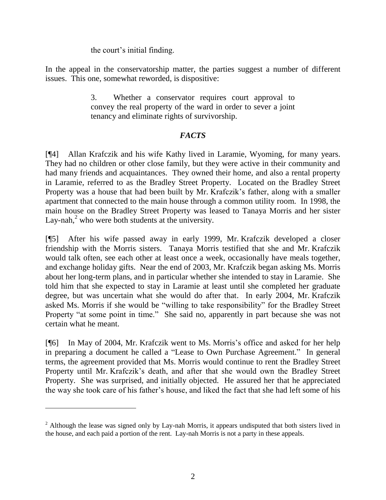the court's initial finding.

In the appeal in the conservatorship matter, the parties suggest a number of different issues. This one, somewhat reworded, is dispositive:

> 3. Whether a conservator requires court approval to convey the real property of the ward in order to sever a joint tenancy and eliminate rights of survivorship.

# *FACTS*

[¶4] Allan Krafczik and his wife Kathy lived in Laramie, Wyoming, for many years. They had no children or other close family, but they were active in their community and had many friends and acquaintances. They owned their home, and also a rental property in Laramie, referred to as the Bradley Street Property. Located on the Bradley Street Property was a house that had been built by Mr. Krafczik's father, along with a smaller apartment that connected to the main house through a common utility room. In 1998, the main house on the Bradley Street Property was leased to Tanaya Morris and her sister Lay-nah, $<sup>2</sup>$  who were both students at the university.</sup>

[¶5] After his wife passed away in early 1999, Mr. Krafczik developed a closer friendship with the Morris sisters. Tanaya Morris testified that she and Mr. Krafczik would talk often, see each other at least once a week, occasionally have meals together, and exchange holiday gifts. Near the end of 2003, Mr. Krafczik began asking Ms. Morris about her long-term plans, and in particular whether she intended to stay in Laramie. She told him that she expected to stay in Laramie at least until she completed her graduate degree, but was uncertain what she would do after that. In early 2004, Mr. Krafczik asked Ms. Morris if she would be "willing to take responsibility" for the Bradley Street Property "at some point in time." She said no, apparently in part because she was not certain what he meant.

[¶6] In May of 2004, Mr. Krafczik went to Ms. Morris's office and asked for her help in preparing a document he called a "Lease to Own Purchase Agreement." In general terms, the agreement provided that Ms. Morris would continue to rent the Bradley Street Property until Mr. Krafczik's death, and after that she would own the Bradley Street Property. She was surprised, and initially objected. He assured her that he appreciated the way she took care of his father's house, and liked the fact that she had left some of his

 $2$  Although the lease was signed only by Lay-nah Morris, it appears undisputed that both sisters lived in the house, and each paid a portion of the rent. Lay-nah Morris is not a party in these appeals.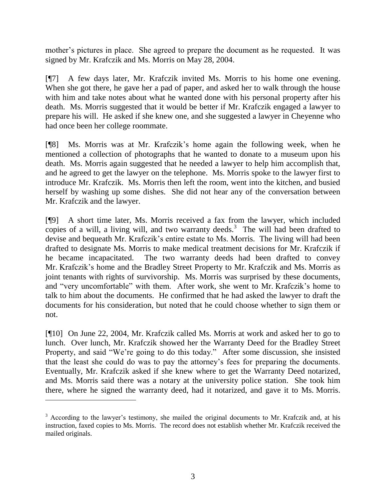mother's pictures in place. She agreed to prepare the document as he requested. It was signed by Mr. Krafczik and Ms. Morris on May 28, 2004.

[¶7] A few days later, Mr. Krafczik invited Ms. Morris to his home one evening. When she got there, he gave her a pad of paper, and asked her to walk through the house with him and take notes about what he wanted done with his personal property after his death. Ms. Morris suggested that it would be better if Mr. Krafczik engaged a lawyer to prepare his will. He asked if she knew one, and she suggested a lawyer in Cheyenne who had once been her college roommate.

[¶8] Ms. Morris was at Mr. Krafczik's home again the following week, when he mentioned a collection of photographs that he wanted to donate to a museum upon his death. Ms. Morris again suggested that he needed a lawyer to help him accomplish that, and he agreed to get the lawyer on the telephone. Ms. Morris spoke to the lawyer first to introduce Mr. Krafczik. Ms. Morris then left the room, went into the kitchen, and busied herself by washing up some dishes. She did not hear any of the conversation between Mr. Krafczik and the lawyer.

[¶9] A short time later, Ms. Morris received a fax from the lawyer, which included copies of a will, a living will, and two warranty deeds.<sup>3</sup> The will had been drafted to devise and bequeath Mr. Krafczik's entire estate to Ms. Morris. The living will had been drafted to designate Ms. Morris to make medical treatment decisions for Mr. Krafczik if he became incapacitated. The two warranty deeds had been drafted to convey Mr. Krafczik's home and the Bradley Street Property to Mr. Krafczik and Ms. Morris as joint tenants with rights of survivorship. Ms. Morris was surprised by these documents, and "very uncomfortable" with them. After work, she went to Mr. Krafczik's home to talk to him about the documents. He confirmed that he had asked the lawyer to draft the documents for his consideration, but noted that he could choose whether to sign them or not.

[¶10] On June 22, 2004, Mr. Krafczik called Ms. Morris at work and asked her to go to lunch. Over lunch, Mr. Krafczik showed her the Warranty Deed for the Bradley Street Property, and said "We're going to do this today." After some discussion, she insisted that the least she could do was to pay the attorney's fees for preparing the documents. Eventually, Mr. Krafczik asked if she knew where to get the Warranty Deed notarized, and Ms. Morris said there was a notary at the university police station. She took him there, where he signed the warranty deed, had it notarized, and gave it to Ms. Morris.

 $\overline{a}$ 

<sup>&</sup>lt;sup>3</sup> According to the lawyer's testimony, she mailed the original documents to Mr. Krafczik and, at his instruction, faxed copies to Ms. Morris. The record does not establish whether Mr. Krafczik received the mailed originals.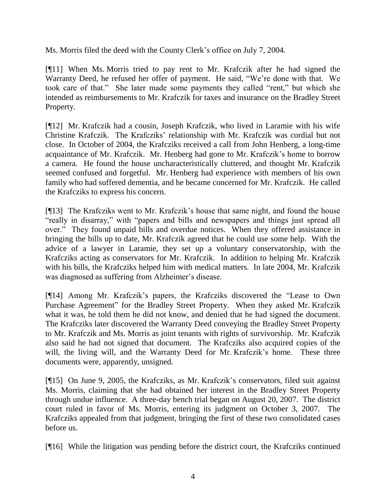Ms. Morris filed the deed with the County Clerk's office on July 7, 2004.

[¶11] When Ms. Morris tried to pay rent to Mr. Krafczik after he had signed the Warranty Deed, he refused her offer of payment. He said, "We're done with that. We took care of that." She later made some payments they called "rent," but which she intended as reimbursements to Mr. Krafczik for taxes and insurance on the Bradley Street Property.

[¶12] Mr. Krafczik had a cousin, Joseph Krafczik, who lived in Laramie with his wife Christine Krafczik. The Krafcziks' relationship with Mr. Krafczik was cordial but not close. In October of 2004, the Krafcziks received a call from John Henberg, a long-time acquaintance of Mr. Krafczik. Mr. Henberg had gone to Mr. Krafczik's home to borrow a camera. He found the house uncharacteristically cluttered, and thought Mr. Krafczik seemed confused and forgetful. Mr. Henberg had experience with members of his own family who had suffered dementia, and he became concerned for Mr. Krafczik. He called the Krafcziks to express his concern.

[¶13] The Krafcziks went to Mr. Krafczik's house that same night, and found the house "really in disarray," with "papers and bills and newspapers and things just spread all over." They found unpaid bills and overdue notices. When they offered assistance in bringing the bills up to date, Mr. Krafczik agreed that he could use some help. With the advice of a lawyer in Laramie, they set up a voluntary conservatorship, with the Krafcziks acting as conservators for Mr. Krafczik. In addition to helping Mr. Krafczik with his bills, the Krafcziks helped him with medical matters. In late 2004, Mr. Krafczik was diagnosed as suffering from Alzheimer's disease.

[¶14] Among Mr. Krafczik's papers, the Krafcziks discovered the "Lease to Own Purchase Agreement" for the Bradley Street Property. When they asked Mr. Krafczik what it was, he told them he did not know, and denied that he had signed the document. The Krafcziks later discovered the Warranty Deed conveying the Bradley Street Property to Mr. Krafczik and Ms. Morris as joint tenants with rights of survivorship. Mr. Krafczik also said he had not signed that document. The Krafcziks also acquired copies of the will, the living will, and the Warranty Deed for Mr. Krafczik's home. These three documents were, apparently, unsigned.

[¶15] On June 9, 2005, the Krafcziks, as Mr. Krafczik's conservators, filed suit against Ms. Morris, claiming that she had obtained her interest in the Bradley Street Property through undue influence. A three-day bench trial began on August 20, 2007. The district court ruled in favor of Ms. Morris, entering its judgment on October 3, 2007. The Krafcziks appealed from that judgment, bringing the first of these two consolidated cases before us.

[¶16] While the litigation was pending before the district court, the Krafcziks continued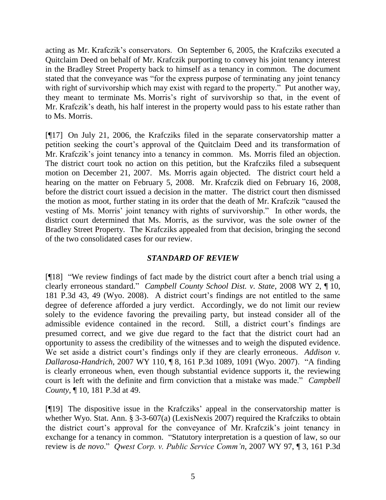acting as Mr. Krafczik's conservators. On September 6, 2005, the Krafcziks executed a Quitclaim Deed on behalf of Mr. Krafczik purporting to convey his joint tenancy interest in the Bradley Street Property back to himself as a tenancy in common. The document stated that the conveyance was "for the express purpose of terminating any joint tenancy with right of survivorship which may exist with regard to the property." Put another way, they meant to terminate Ms. Morris's right of survivorship so that, in the event of Mr. Krafczik's death, his half interest in the property would pass to his estate rather than to Ms. Morris.

[¶17] On July 21, 2006, the Krafcziks filed in the separate conservatorship matter a petition seeking the court's approval of the Quitclaim Deed and its transformation of Mr. Krafczik's joint tenancy into a tenancy in common. Ms. Morris filed an objection. The district court took no action on this petition, but the Krafcziks filed a subsequent motion on December 21, 2007. Ms. Morris again objected. The district court held a hearing on the matter on February 5, 2008. Mr. Krafczik died on February 16, 2008, before the district court issued a decision in the matter. The district court then dismissed the motion as moot, further stating in its order that the death of Mr. Krafczik "caused the vesting of Ms. Morris' joint tenancy with rights of survivorship." In other words, the district court determined that Ms. Morris, as the survivor, was the sole owner of the Bradley Street Property. The Krafcziks appealed from that decision, bringing the second of the two consolidated cases for our review.

# *STANDARD OF REVIEW*

[¶18] "We review findings of fact made by the district court after a bench trial using a clearly erroneous standard." *Campbell County School Dist. v. State*, 2008 WY 2, ¶ 10, 181 P.3d 43, 49 (Wyo. 2008). A district court's findings are not entitled to the same degree of deference afforded a jury verdict. Accordingly, we do not limit our review solely to the evidence favoring the prevailing party, but instead consider all of the admissible evidence contained in the record. Still, a district court's findings are presumed correct, and we give due regard to the fact that the district court had an opportunity to assess the credibility of the witnesses and to weigh the disputed evidence. We set aside a district court's findings only if they are clearly erroneous. *Addison v. Dallarosa-Handrich*, 2007 WY 110, ¶ 8, 161 P.3d 1089, 1091 (Wyo. 2007). "A finding is clearly erroneous when, even though substantial evidence supports it, the reviewing court is left with the definite and firm conviction that a mistake was made." *Campbell County*, ¶ 10, 181 P.3d at 49.

[¶19] The dispositive issue in the Krafcziks' appeal in the conservatorship matter is whether Wyo. Stat. Ann. § 3-3-607(a) (LexisNexis 2007) required the Krafcziks to obtain the district court's approval for the conveyance of Mr. Krafczik's joint tenancy in exchange for a tenancy in common. "Statutory interpretation is a question of law, so our review is *de novo*." *Qwest Corp. v. Public Service Comm'n*, 2007 WY 97, ¶ 3, 161 P.3d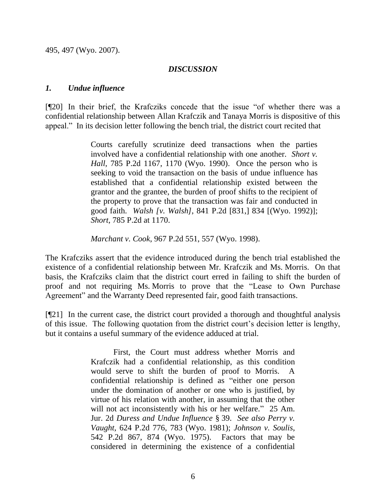495, 497 (Wyo. 2007).

#### *DISCUSSION*

#### *1. Undue influence*

[¶20] In their brief, the Krafcziks concede that the issue "of whether there was a confidential relationship between Allan Krafczik and Tanaya Morris is dispositive of this appeal." In its decision letter following the bench trial, the district court recited that

> Courts carefully scrutinize deed transactions when the parties involved have a confidential relationship with one another. *Short v. Hall*, 785 P.2d 1167, 1170 (Wyo. 1990). Once the person who is seeking to void the transaction on the basis of undue influence has established that a confidential relationship existed between the grantor and the grantee, the burden of proof shifts to the recipient of the property to prove that the transaction was fair and conducted in good faith. *Walsh [v. Walsh]*, 841 P.2d [831,] 834 [(Wyo. 1992)]; *Short*, 785 P.2d at 1170.

*Marchant v. Cook*, 967 P.2d 551, 557 (Wyo. 1998).

The Krafcziks assert that the evidence introduced during the bench trial established the existence of a confidential relationship between Mr. Krafczik and Ms. Morris. On that basis, the Krafcziks claim that the district court erred in failing to shift the burden of proof and not requiring Ms. Morris to prove that the "Lease to Own Purchase Agreement" and the Warranty Deed represented fair, good faith transactions.

[¶21] In the current case, the district court provided a thorough and thoughtful analysis of this issue. The following quotation from the district court's decision letter is lengthy, but it contains a useful summary of the evidence adduced at trial.

> First, the Court must address whether Morris and Krafczik had a confidential relationship, as this condition would serve to shift the burden of proof to Morris. A confidential relationship is defined as "either one person under the domination of another or one who is justified, by virtue of his relation with another, in assuming that the other will not act inconsistently with his or her welfare." 25 Am. Jur. 2d *Duress and Undue Influence* § 39. *See also Perry v. Vaught*, 624 P.2d 776, 783 (Wyo. 1981); *Johnson v. Soulis*, 542 P.2d 867, 874 (Wyo. 1975). Factors that may be considered in determining the existence of a confidential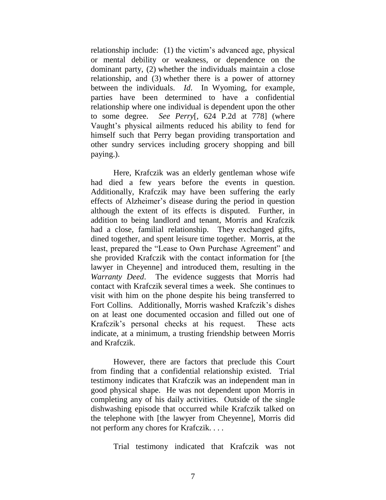relationship include: (1) the victim's advanced age, physical or mental debility or weakness, or dependence on the dominant party, (2) whether the individuals maintain a close relationship, and (3) whether there is a power of attorney between the individuals. *Id*. In Wyoming, for example, parties have been determined to have a confidential relationship where one individual is dependent upon the other to some degree. *See Perry*[, 624 P.2d at 778] (where Vaught's physical ailments reduced his ability to fend for himself such that Perry began providing transportation and other sundry services including grocery shopping and bill paying.).

Here, Krafczik was an elderly gentleman whose wife had died a few years before the events in question. Additionally, Krafczik may have been suffering the early effects of Alzheimer's disease during the period in question although the extent of its effects is disputed. Further, in addition to being landlord and tenant, Morris and Krafczik had a close, familial relationship. They exchanged gifts, dined together, and spent leisure time together. Morris, at the least, prepared the "Lease to Own Purchase Agreement" and she provided Krafczik with the contact information for [the lawyer in Cheyenne] and introduced them, resulting in the *Warranty Deed*. The evidence suggests that Morris had contact with Krafczik several times a week. She continues to visit with him on the phone despite his being transferred to Fort Collins. Additionally, Morris washed Krafczik's dishes on at least one documented occasion and filled out one of Krafczik's personal checks at his request. These acts indicate, at a minimum, a trusting friendship between Morris and Krafczik.

However, there are factors that preclude this Court from finding that a confidential relationship existed. Trial testimony indicates that Krafczik was an independent man in good physical shape. He was not dependent upon Morris in completing any of his daily activities. Outside of the single dishwashing episode that occurred while Krafczik talked on the telephone with [the lawyer from Cheyenne], Morris did not perform any chores for Krafczik. . . .

Trial testimony indicated that Krafczik was not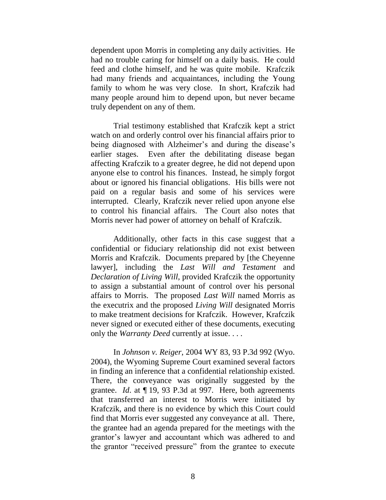dependent upon Morris in completing any daily activities. He had no trouble caring for himself on a daily basis. He could feed and clothe himself, and he was quite mobile. Krafczik had many friends and acquaintances, including the Young family to whom he was very close. In short, Krafczik had many people around him to depend upon, but never became truly dependent on any of them.

Trial testimony established that Krafczik kept a strict watch on and orderly control over his financial affairs prior to being diagnosed with Alzheimer's and during the disease's earlier stages. Even after the debilitating disease began affecting Krafczik to a greater degree, he did not depend upon anyone else to control his finances. Instead, he simply forgot about or ignored his financial obligations. His bills were not paid on a regular basis and some of his services were interrupted. Clearly, Krafczik never relied upon anyone else to control his financial affairs. The Court also notes that Morris never had power of attorney on behalf of Krafczik.

Additionally, other facts in this case suggest that a confidential or fiduciary relationship did not exist between Morris and Krafczik. Documents prepared by [the Cheyenne lawyer], including the *Last Will and Testament* and *Declaration of Living Will*, provided Krafczik the opportunity to assign a substantial amount of control over his personal affairs to Morris. The proposed *Last Will* named Morris as the executrix and the proposed *Living Will* designated Morris to make treatment decisions for Krafczik. However, Krafczik never signed or executed either of these documents, executing only the *Warranty Deed* currently at issue. . . .

In *Johnson v. Reiger*, 2004 WY 83, 93 P.3d 992 (Wyo. 2004), the Wyoming Supreme Court examined several factors in finding an inference that a confidential relationship existed. There, the conveyance was originally suggested by the grantee. *Id*. at ¶ 19, 93 P.3d at 997. Here, both agreements that transferred an interest to Morris were initiated by Krafczik, and there is no evidence by which this Court could find that Morris ever suggested any conveyance at all. There, the grantee had an agenda prepared for the meetings with the grantor's lawyer and accountant which was adhered to and the grantor "received pressure" from the grantee to execute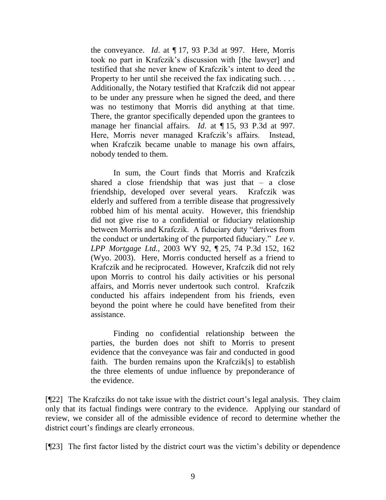the conveyance. *Id*. at ¶ 17, 93 P.3d at 997. Here, Morris took no part in Krafczik's discussion with [the lawyer] and testified that she never knew of Krafczik's intent to deed the Property to her until she received the fax indicating such. . . . Additionally, the Notary testified that Krafczik did not appear to be under any pressure when he signed the deed, and there was no testimony that Morris did anything at that time. There, the grantor specifically depended upon the grantees to manage her financial affairs. *Id*. at ¶ 15, 93 P.3d at 997. Here, Morris never managed Krafczik's affairs. Instead, when Krafczik became unable to manage his own affairs, nobody tended to them.

In sum, the Court finds that Morris and Krafczik shared a close friendship that was just that  $-$  a close friendship, developed over several years. Krafczik was elderly and suffered from a terrible disease that progressively robbed him of his mental acuity. However, this friendship did not give rise to a confidential or fiduciary relationship between Morris and Krafczik. A fiduciary duty "derives from the conduct or undertaking of the purported fiduciary." *Lee v. LPP Mortgage Ltd.*, 2003 WY 92, ¶ 25, 74 P.3d 152, 162 (Wyo. 2003). Here, Morris conducted herself as a friend to Krafczik and he reciprocated. However, Krafczik did not rely upon Morris to control his daily activities or his personal affairs, and Morris never undertook such control. Krafczik conducted his affairs independent from his friends, even beyond the point where he could have benefited from their assistance.

Finding no confidential relationship between the parties, the burden does not shift to Morris to present evidence that the conveyance was fair and conducted in good faith. The burden remains upon the Krafczik[s] to establish the three elements of undue influence by preponderance of the evidence.

[¶22] The Krafcziks do not take issue with the district court's legal analysis. They claim only that its factual findings were contrary to the evidence. Applying our standard of review, we consider all of the admissible evidence of record to determine whether the district court's findings are clearly erroneous.

[¶23] The first factor listed by the district court was the victim's debility or dependence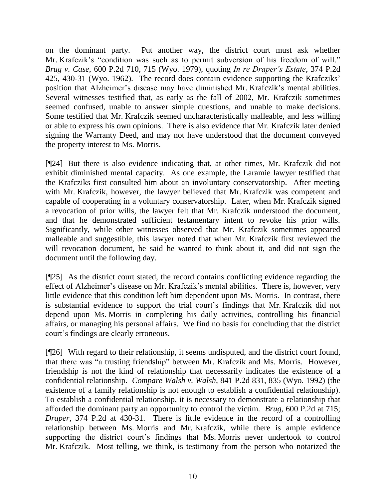on the dominant party. Put another way, the district court must ask whether Mr. Krafczik's "condition was such as to permit subversion of his freedom of will." *Brug v. Case*, 600 P.2d 710, 715 (Wyo. 1979), quoting *In re Draper's Estate*, 374 P.2d 425, 430-31 (Wyo. 1962). The record does contain evidence supporting the Krafcziks' position that Alzheimer's disease may have diminished Mr. Krafczik's mental abilities. Several witnesses testified that, as early as the fall of 2002, Mr. Krafczik sometimes seemed confused, unable to answer simple questions, and unable to make decisions. Some testified that Mr. Krafczik seemed uncharacteristically malleable, and less willing or able to express his own opinions. There is also evidence that Mr. Krafczik later denied signing the Warranty Deed, and may not have understood that the document conveyed the property interest to Ms. Morris.

[¶24] But there is also evidence indicating that, at other times, Mr. Krafczik did not exhibit diminished mental capacity. As one example, the Laramie lawyer testified that the Krafcziks first consulted him about an involuntary conservatorship. After meeting with Mr. Krafczik, however, the lawyer believed that Mr. Krafczik was competent and capable of cooperating in a voluntary conservatorship. Later, when Mr. Krafczik signed a revocation of prior wills, the lawyer felt that Mr. Krafczik understood the document, and that he demonstrated sufficient testamentary intent to revoke his prior wills. Significantly, while other witnesses observed that Mr. Krafczik sometimes appeared malleable and suggestible, this lawyer noted that when Mr. Krafczik first reviewed the will revocation document, he said he wanted to think about it, and did not sign the document until the following day.

[¶25] As the district court stated, the record contains conflicting evidence regarding the effect of Alzheimer's disease on Mr. Krafczik's mental abilities. There is, however, very little evidence that this condition left him dependent upon Ms. Morris. In contrast, there is substantial evidence to support the trial court's findings that Mr. Krafczik did not depend upon Ms. Morris in completing his daily activities, controlling his financial affairs, or managing his personal affairs. We find no basis for concluding that the district court's findings are clearly erroneous.

[¶26] With regard to their relationship, it seems undisputed, and the district court found, that there was "a trusting friendship" between Mr. Krafczik and Ms. Morris. However, friendship is not the kind of relationship that necessarily indicates the existence of a confidential relationship. *Compare Walsh v. Walsh*, 841 P.2d 831, 835 (Wyo. 1992) (the existence of a family relationship is not enough to establish a confidential relationship). To establish a confidential relationship, it is necessary to demonstrate a relationship that afforded the dominant party an opportunity to control the victim. *Brug*, 600 P.2d at 715; *Draper*, 374 P.2d at 430-31. There is little evidence in the record of a controlling relationship between Ms. Morris and Mr. Krafczik, while there is ample evidence supporting the district court's findings that Ms. Morris never undertook to control Mr. Krafczik. Most telling, we think, is testimony from the person who notarized the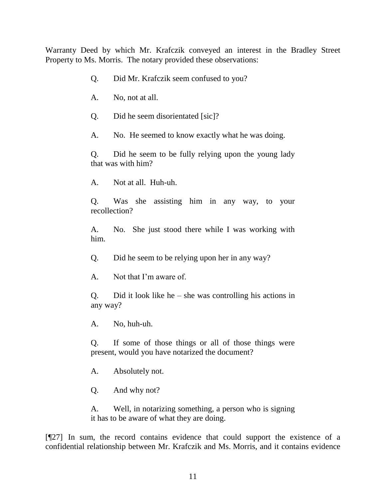Warranty Deed by which Mr. Krafczik conveyed an interest in the Bradley Street Property to Ms. Morris. The notary provided these observations:

- Q. Did Mr. Krafczik seem confused to you?
- A. No, not at all.
- Q. Did he seem disorientated [sic]?
- A. No. He seemed to know exactly what he was doing.

Q. Did he seem to be fully relying upon the young lady that was with him?

A. Not at all. Huh-uh.

Q. Was she assisting him in any way, to your recollection?

A. No. She just stood there while I was working with him.

Q. Did he seem to be relying upon her in any way?

A. Not that I'm aware of.

Q. Did it look like he – she was controlling his actions in any way?

A. No, huh-uh.

Q. If some of those things or all of those things were present, would you have notarized the document?

A. Absolutely not.

Q. And why not?

A. Well, in notarizing something, a person who is signing it has to be aware of what they are doing.

[¶27] In sum, the record contains evidence that could support the existence of a confidential relationship between Mr. Krafczik and Ms. Morris, and it contains evidence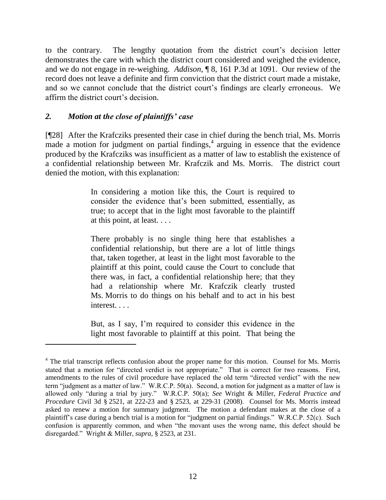to the contrary. The lengthy quotation from the district court's decision letter demonstrates the care with which the district court considered and weighed the evidence, and we do not engage in re-weighing. *Addison*, ¶ 8, 161 P.3d at 1091. Our review of the record does not leave a definite and firm conviction that the district court made a mistake, and so we cannot conclude that the district court's findings are clearly erroneous. We affirm the district court's decision.

# *2. Motion at the close of plaintiffs' case*

[¶28] After the Krafcziks presented their case in chief during the bench trial, Ms. Morris  $m$  made a motion for judgment on partial findings,<sup>4</sup> arguing in essence that the evidence produced by the Krafcziks was insufficient as a matter of law to establish the existence of a confidential relationship between Mr. Krafczik and Ms. Morris. The district court denied the motion, with this explanation:

> In considering a motion like this, the Court is required to consider the evidence that's been submitted, essentially, as true; to accept that in the light most favorable to the plaintiff at this point, at least. . . .

> There probably is no single thing here that establishes a confidential relationship, but there are a lot of little things that, taken together, at least in the light most favorable to the plaintiff at this point, could cause the Court to conclude that there was, in fact, a confidential relationship here; that they had a relationship where Mr. Krafczik clearly trusted Ms. Morris to do things on his behalf and to act in his best interest. . . .

> But, as I say, I'm required to consider this evidence in the light most favorable to plaintiff at this point. That being the

<sup>&</sup>lt;sup>4</sup> The trial transcript reflects confusion about the proper name for this motion. Counsel for Ms. Morris stated that a motion for "directed verdict is not appropriate." That is correct for two reasons. First, amendments to the rules of civil procedure have replaced the old term "directed verdict" with the new term "judgment as a matter of law." W.R.C.P. 50(a). Second, a motion for judgment as a matter of law is allowed only "during a trial by jury." W.R.C.P. 50(a); *See* Wright & Miller, *Federal Practice and Procedure* Civil 3d § 2521, at 222-23 and § 2523, at 229-31 (2008). Counsel for Ms. Morris instead asked to renew a motion for summary judgment. The motion a defendant makes at the close of a plaintiff's case during a bench trial is a motion for "judgment on partial findings." W.R.C.P. 52(c). Such confusion is apparently common, and when "the movant uses the wrong name, this defect should be disregarded." Wright & Miller, *supra*, § 2523, at 231.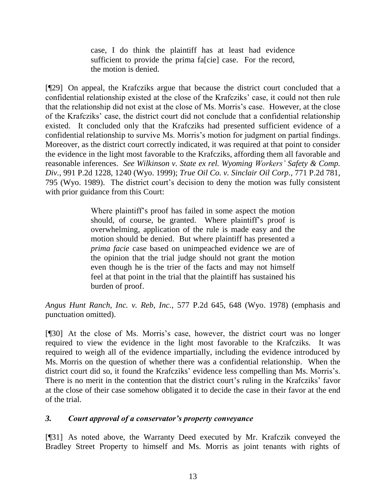case, I do think the plaintiff has at least had evidence sufficient to provide the prima fa[cie] case. For the record, the motion is denied.

[¶29] On appeal, the Krafcziks argue that because the district court concluded that a confidential relationship existed at the close of the Krafcziks' case, it could not then rule that the relationship did not exist at the close of Ms. Morris's case. However, at the close of the Krafcziks' case, the district court did not conclude that a confidential relationship existed. It concluded only that the Krafcziks had presented sufficient evidence of a confidential relationship to survive Ms. Morris's motion for judgment on partial findings. Moreover, as the district court correctly indicated, it was required at that point to consider the evidence in the light most favorable to the Krafcziks, affording them all favorable and reasonable inferences. *See Wilkinson v. State ex rel. Wyoming Workers' Safety & Comp. Div.*, 991 P.2d 1228, 1240 (Wyo. 1999); *True Oil Co. v. Sinclair Oil Corp.*, 771 P.2d 781, 795 (Wyo. 1989). The district court's decision to deny the motion was fully consistent with prior guidance from this Court:

> Where plaintiff's proof has failed in some aspect the motion should, of course, be granted. Where plaintiff's proof is overwhelming, application of the rule is made easy and the motion should be denied. But where plaintiff has presented a *prima facie* case based on unimpeached evidence we are of the opinion that the trial judge should not grant the motion even though he is the trier of the facts and may not himself feel at that point in the trial that the plaintiff has sustained his burden of proof.

*Angus Hunt Ranch, Inc. v. Reb, Inc.*, 577 P.2d 645, 648 (Wyo. 1978) (emphasis and punctuation omitted).

[¶30] At the close of Ms. Morris's case, however, the district court was no longer required to view the evidence in the light most favorable to the Krafcziks. It was required to weigh all of the evidence impartially, including the evidence introduced by Ms. Morris on the question of whether there was a confidential relationship. When the district court did so, it found the Krafcziks' evidence less compelling than Ms. Morris's. There is no merit in the contention that the district court's ruling in the Krafcziks' favor at the close of their case somehow obligated it to decide the case in their favor at the end of the trial.

# *3. Court approval of a conservator's property conveyance*

[¶31] As noted above, the Warranty Deed executed by Mr. Krafczik conveyed the Bradley Street Property to himself and Ms. Morris as joint tenants with rights of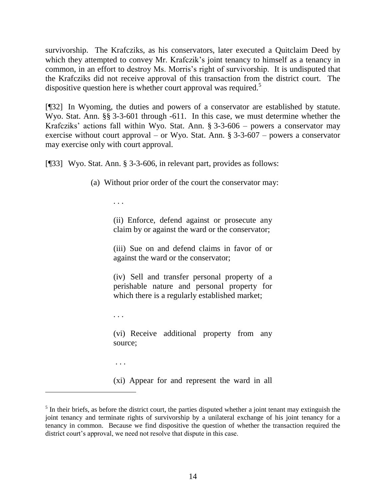survivorship. The Krafcziks, as his conservators, later executed a Quitclaim Deed by which they attempted to convey Mr. Krafczik's joint tenancy to himself as a tenancy in common, in an effort to destroy Ms. Morris's right of survivorship. It is undisputed that the Krafcziks did not receive approval of this transaction from the district court. The dispositive question here is whether court approval was required.<sup>5</sup>

[¶32] In Wyoming, the duties and powers of a conservator are established by statute. Wyo. Stat. Ann. §§ 3-3-601 through -611. In this case, we must determine whether the Krafcziks' actions fall within Wyo. Stat. Ann. § 3-3-606 – powers a conservator may exercise without court approval – or Wyo. Stat. Ann. § 3-3-607 – powers a conservator may exercise only with court approval.

[¶33] Wyo. Stat. Ann. § 3-3-606, in relevant part, provides as follows:

(a) Without prior order of the court the conservator may:

. . .

(ii) Enforce, defend against or prosecute any claim by or against the ward or the conservator;

(iii) Sue on and defend claims in favor of or against the ward or the conservator;

(iv) Sell and transfer personal property of a perishable nature and personal property for which there is a regularly established market;

. . .

(vi) Receive additional property from any source;

. . .

 $\overline{a}$ 

(xi) Appear for and represent the ward in all

 $<sup>5</sup>$  In their briefs, as before the district court, the parties disputed whether a joint tenant may extinguish the</sup> joint tenancy and terminate rights of survivorship by a unilateral exchange of his joint tenancy for a tenancy in common. Because we find dispositive the question of whether the transaction required the district court's approval, we need not resolve that dispute in this case.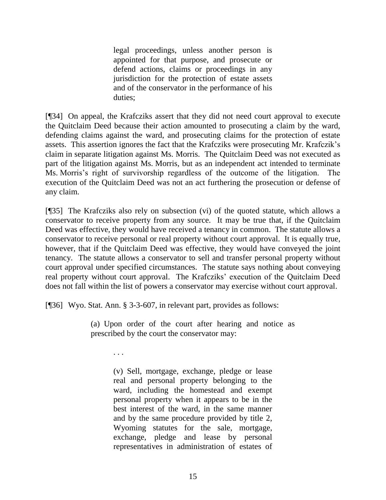legal proceedings, unless another person is appointed for that purpose, and prosecute or defend actions, claims or proceedings in any jurisdiction for the protection of estate assets and of the conservator in the performance of his duties;

[¶34] On appeal, the Krafcziks assert that they did not need court approval to execute the Quitclaim Deed because their action amounted to prosecuting a claim by the ward, defending claims against the ward, and prosecuting claims for the protection of estate assets. This assertion ignores the fact that the Krafcziks were prosecuting Mr. Krafczik's claim in separate litigation against Ms. Morris. The Quitclaim Deed was not executed as part of the litigation against Ms. Morris, but as an independent act intended to terminate Ms. Morris's right of survivorship regardless of the outcome of the litigation. The execution of the Quitclaim Deed was not an act furthering the prosecution or defense of any claim.

[¶35] The Krafcziks also rely on subsection (vi) of the quoted statute, which allows a conservator to receive property from any source. It may be true that, if the Quitclaim Deed was effective, they would have received a tenancy in common. The statute allows a conservator to receive personal or real property without court approval. It is equally true, however, that if the Quitclaim Deed was effective, they would have conveyed the joint tenancy. The statute allows a conservator to sell and transfer personal property without court approval under specified circumstances. The statute says nothing about conveying real property without court approval. The Krafcziks' execution of the Quitclaim Deed does not fall within the list of powers a conservator may exercise without court approval.

[¶36] Wyo. Stat. Ann. § 3-3-607, in relevant part, provides as follows:

(a) Upon order of the court after hearing and notice as prescribed by the court the conservator may:

. . .

(v) Sell, mortgage, exchange, pledge or lease real and personal property belonging to the ward, including the homestead and exempt personal property when it appears to be in the best interest of the ward, in the same manner and by the same procedure provided by title 2, Wyoming statutes for the sale, mortgage, exchange, pledge and lease by personal representatives in administration of estates of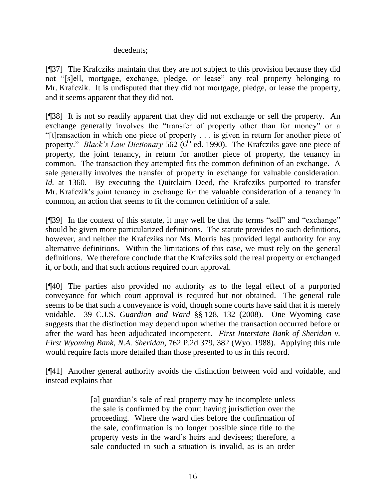#### decedents;

[¶37] The Krafcziks maintain that they are not subject to this provision because they did not "[s]ell, mortgage, exchange, pledge, or lease" any real property belonging to Mr. Krafczik. It is undisputed that they did not mortgage, pledge, or lease the property, and it seems apparent that they did not.

[¶38] It is not so readily apparent that they did not exchange or sell the property. An exchange generally involves the "transfer of property other than for money" or a "[t]ransaction in which one piece of property . . . is given in return for another piece of property." *Black's Law Dictionary* 562 (6<sup>th</sup> ed. 1990). The Krafcziks gave one piece of property, the joint tenancy, in return for another piece of property, the tenancy in common. The transaction they attempted fits the common definition of an exchange. A sale generally involves the transfer of property in exchange for valuable consideration. *Id.* at 1360. By executing the Quitclaim Deed, the Krafcziks purported to transfer Mr. Krafczik's joint tenancy in exchange for the valuable consideration of a tenancy in common, an action that seems to fit the common definition of a sale.

[¶39] In the context of this statute, it may well be that the terms "sell" and "exchange" should be given more particularized definitions. The statute provides no such definitions, however, and neither the Krafcziks nor Ms. Morris has provided legal authority for any alternative definitions. Within the limitations of this case, we must rely on the general definitions. We therefore conclude that the Krafcziks sold the real property or exchanged it, or both, and that such actions required court approval.

[¶40] The parties also provided no authority as to the legal effect of a purported conveyance for which court approval is required but not obtained. The general rule seems to be that such a conveyance is void, though some courts have said that it is merely voidable. 39 C.J.S. *Guardian and Ward* §§ 128, 132 (2008). One Wyoming case suggests that the distinction may depend upon whether the transaction occurred before or after the ward has been adjudicated incompetent. *First Interstate Bank of Sheridan v. First Wyoming Bank, N.A. Sheridan*, 762 P.2d 379, 382 (Wyo. 1988). Applying this rule would require facts more detailed than those presented to us in this record.

[¶41] Another general authority avoids the distinction between void and voidable, and instead explains that

> [a] guardian's sale of real property may be incomplete unless the sale is confirmed by the court having jurisdiction over the proceeding. Where the ward dies before the confirmation of the sale, confirmation is no longer possible since title to the property vests in the ward's heirs and devisees; therefore, a sale conducted in such a situation is invalid, as is an order